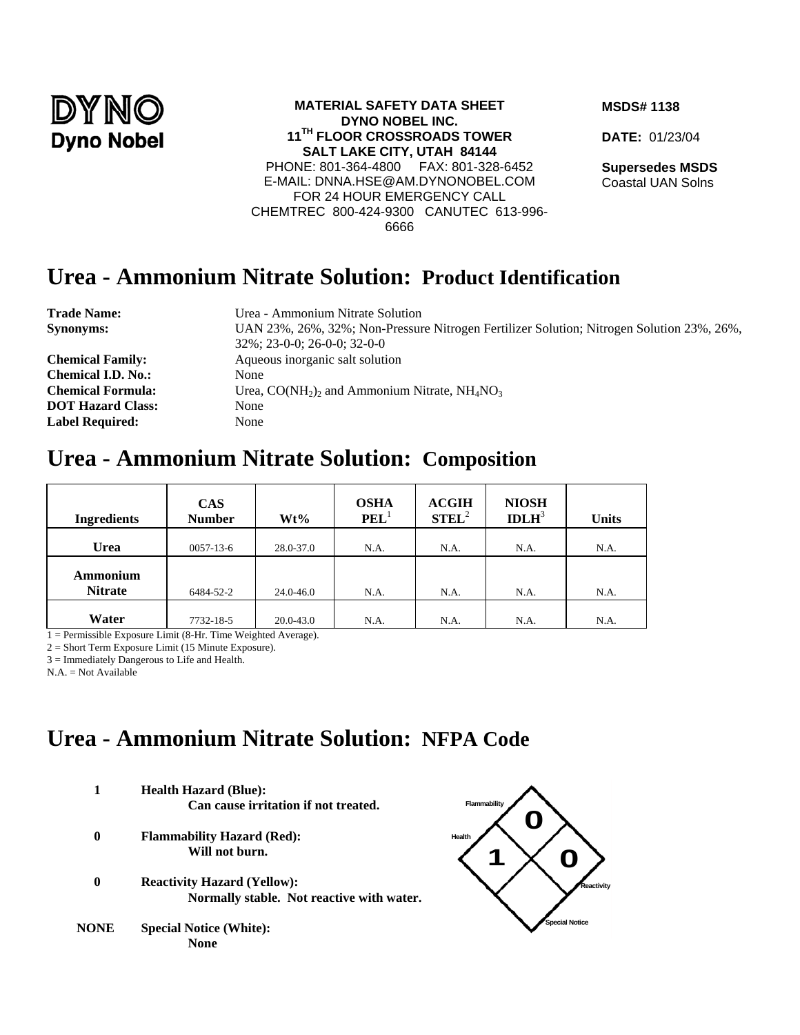

#### **MATERIAL SAFETY DATA SHEET DYNO NOBEL INC. 11TH FLOOR CROSSROADS TOWER SALT LAKE CITY, UTAH 84144**  PHONE: 801-364-4800 FAX: 801-328-6452 E-MAIL: DNNA.HSE@AM.DYNONOBEL.COM FOR 24 HOUR EMERGENCY CALL CHEMTREC 800-424-9300 CANUTEC 613-996- 6666

#### **MSDS# 1138**

**DATE:** 01/23/04

**Supersedes MSDS** Coastal UAN Solns

### **Urea - Ammonium Nitrate Solution: Product Identification**

| <b>Trade Name:</b>        | Urea - Ammonium Nitrate Solution                                                          |
|---------------------------|-------------------------------------------------------------------------------------------|
| <b>Synonyms:</b>          | UAN 23%, 26%, 32%; Non-Pressure Nitrogen Fertilizer Solution; Nitrogen Solution 23%, 26%, |
|                           | $32\%$ ; 23-0-0; 26-0-0; 32-0-0                                                           |
| <b>Chemical Family:</b>   | Aqueous inorganic salt solution                                                           |
| <b>Chemical I.D. No.:</b> | None                                                                                      |
| <b>Chemical Formula:</b>  | Urea, $CO(NH_2)$ and Ammonium Nitrate, $NH_4NO_3$                                         |
| <b>DOT Hazard Class:</b>  | None                                                                                      |
| <b>Label Required:</b>    | None                                                                                      |
|                           |                                                                                           |

### **Urea - Ammonium Nitrate Solution: Composition**

| <b>Ingredients</b>         | <b>CAS</b><br><b>Number</b> | $Wt\%$        | <b>OSHA</b><br>PEL <sup>T</sup> | <b>ACGIH</b><br>$STEL^2$ | <b>NIOSH</b><br>IDLH <sup>3</sup> | <b>Units</b> |
|----------------------------|-----------------------------|---------------|---------------------------------|--------------------------|-----------------------------------|--------------|
| Urea                       | $0057 - 13 - 6$             | 28.0-37.0     | N.A.                            | N.A.                     | N.A.                              | N.A.         |
| Ammonium<br><b>Nitrate</b> | 6484-52-2                   | 24.0-46.0     | N.A.                            | N.A.                     | N.A.                              | N.A.         |
| Water                      | 7732-18-5                   | $20.0 - 43.0$ | N.A.                            | N.A.                     | N.A.                              | N.A.         |

1 = Permissible Exposure Limit (8-Hr. Time Weighted Average).

2 = Short Term Exposure Limit (15 Minute Exposure).

3 = Immediately Dangerous to Life and Health.

N.A. = Not Available

# **Urea - Ammonium Nitrate Solution: NFPA Code**

**1 Health Hazard (Blue): Can cause irritation if not treated. 0 Flammability Hazard (Red):** 

**Will not burn.**

- **0 Reactivity Hazard (Yellow): Normally stable. Not reactive with water.**
- **NONE Special Notice (White): None**

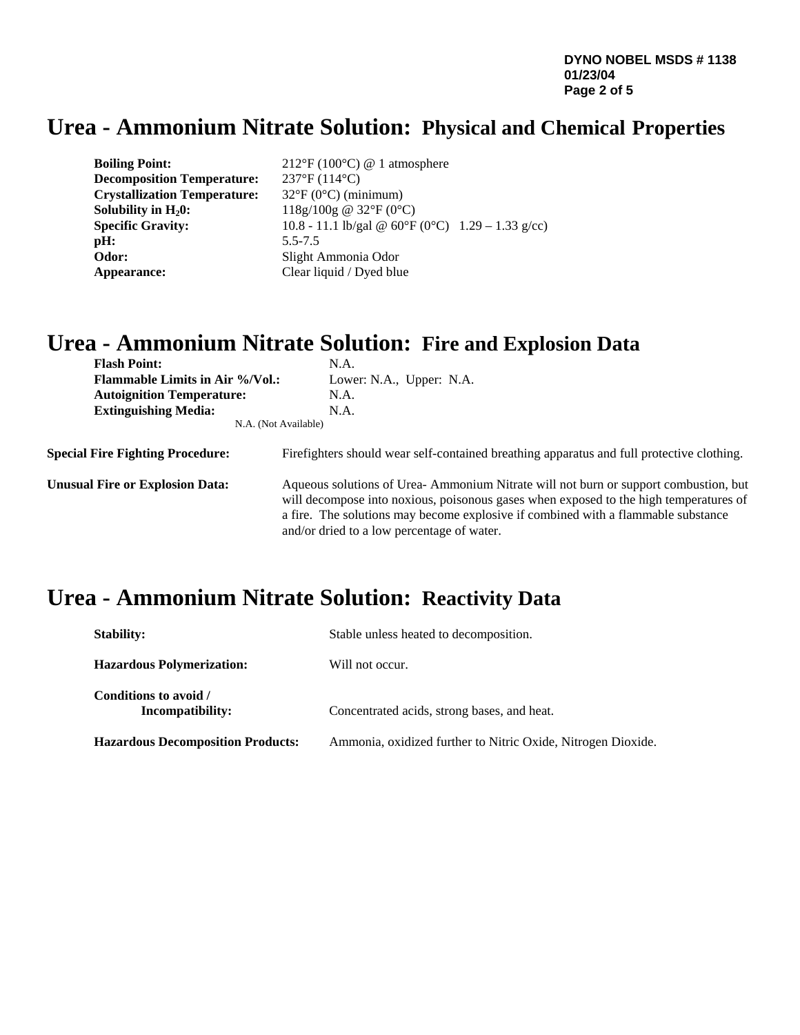**DYNO NOBEL MSDS # 1138 01/23/04 Page 2 of 5** 

## **Urea - Ammonium Nitrate Solution: Physical and Chemical Properties**

| <b>Boiling Point:</b>               | $212^{\circ}F(100^{\circ}C)$ @ 1 atmosphere                      |
|-------------------------------------|------------------------------------------------------------------|
| <b>Decomposition Temperature:</b>   | $237^{\circ}F(114^{\circ}C)$                                     |
| <b>Crystallization Temperature:</b> | $32^{\circ}F(0^{\circ}C)$ (minimum)                              |
| Solubility in $H_20$ :              | 118g/100g @ 32°F (0°C)                                           |
| <b>Specific Gravity:</b>            | 10.8 - 11.1 lb/gal @ $60^{\circ}F(0^{\circ}C)$ 1.29 - 1.33 g/cc) |
| pH:                                 | $5.5 - 7.5$                                                      |
| Odor:                               | Slight Ammonia Odor                                              |
| Appearance:                         | Clear liquid / Dyed blue                                         |

## **Urea - Ammonium Nitrate Solution: Fire and Explosion Data**

| <b>Flash Point:</b>                     | N.A.                                                                                                                                                                                                                                                                                                            |  |  |
|-----------------------------------------|-----------------------------------------------------------------------------------------------------------------------------------------------------------------------------------------------------------------------------------------------------------------------------------------------------------------|--|--|
| <b>Flammable Limits in Air %/Vol.:</b>  | Lower: N.A., Upper: N.A.                                                                                                                                                                                                                                                                                        |  |  |
| <b>Autoignition Temperature:</b>        | N.A.                                                                                                                                                                                                                                                                                                            |  |  |
| <b>Extinguishing Media:</b>             | N.A.                                                                                                                                                                                                                                                                                                            |  |  |
|                                         | N.A. (Not Available)                                                                                                                                                                                                                                                                                            |  |  |
| <b>Special Fire Fighting Procedure:</b> | Firefighters should wear self-contained breathing apparatus and full protective clothing.                                                                                                                                                                                                                       |  |  |
| <b>Unusual Fire or Explosion Data:</b>  | Aqueous solutions of Urea-Ammonium Nitrate will not burn or support combustion, but<br>will decompose into noxious, poisonous gases when exposed to the high temperatures of<br>a fire. The solutions may become explosive if combined with a flammable substance<br>and/or dried to a low percentage of water. |  |  |

# **Urea - Ammonium Nitrate Solution: Reactivity Data**

| <b>Stability:</b>                         | Stable unless heated to decomposition.                       |  |  |
|-------------------------------------------|--------------------------------------------------------------|--|--|
| <b>Hazardous Polymerization:</b>          | Will not occur.                                              |  |  |
| Conditions to avoid /<br>Incompatibility: | Concentrated acids, strong bases, and heat.                  |  |  |
| <b>Hazardous Decomposition Products:</b>  | Ammonia, oxidized further to Nitric Oxide, Nitrogen Dioxide. |  |  |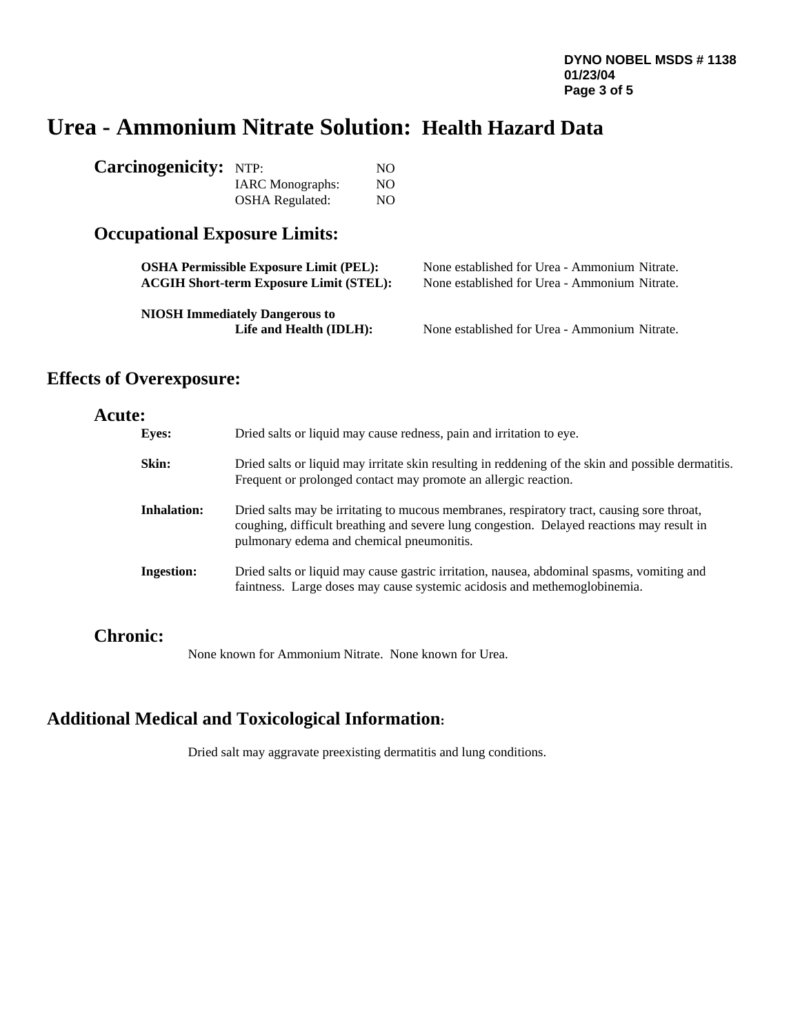# **Urea - Ammonium Nitrate Solution: Health Hazard Data**

| <b>Carcinogenicity:</b> NTP: |                         | NO. |
|------------------------------|-------------------------|-----|
|                              | <b>IARC</b> Monographs: | NO. |
|                              | <b>OSHA</b> Regulated:  | NO. |

### **Occupational Exposure Limits:**

| <b>OSHA Permissible Exposure Limit (PEL):</b>                    | None established for Urea - Ammonium Nitrate. |
|------------------------------------------------------------------|-----------------------------------------------|
| <b>ACGIH Short-term Exposure Limit (STEL):</b>                   | None established for Urea - Ammonium Nitrate. |
| <b>NIOSH Immediately Dangerous to</b><br>Life and Health (IDLH): | None established for Urea - Ammonium Nitrate. |

### **Effects of Overexposure:**

### **Acute:**

| Dried salts or liquid may cause redness, pain and irritation to eye.                                                                                                                                                                                       |
|------------------------------------------------------------------------------------------------------------------------------------------------------------------------------------------------------------------------------------------------------------|
| Dried salts or liquid may irritate skin resulting in reddening of the skin and possible dermatitis.<br>Frequent or prolonged contact may promote an allergic reaction.                                                                                     |
| <b>Inhalation:</b><br>Dried salts may be irritating to mucous membranes, respiratory tract, causing sore throat,<br>coughing, difficult breathing and severe lung congestion. Delayed reactions may result in<br>pulmonary edema and chemical pneumonitis. |
| Dried salts or liquid may cause gastric irritation, nausea, abdominal spasms, vomiting and<br><b>Ingestion:</b><br>faintness. Large doses may cause systemic acidosis and methemoglobinemia.                                                               |
|                                                                                                                                                                                                                                                            |

### **Chronic:**

None known for Ammonium Nitrate. None known for Urea.

### **Additional Medical and Toxicological Information:**

Dried salt may aggravate preexisting dermatitis and lung conditions.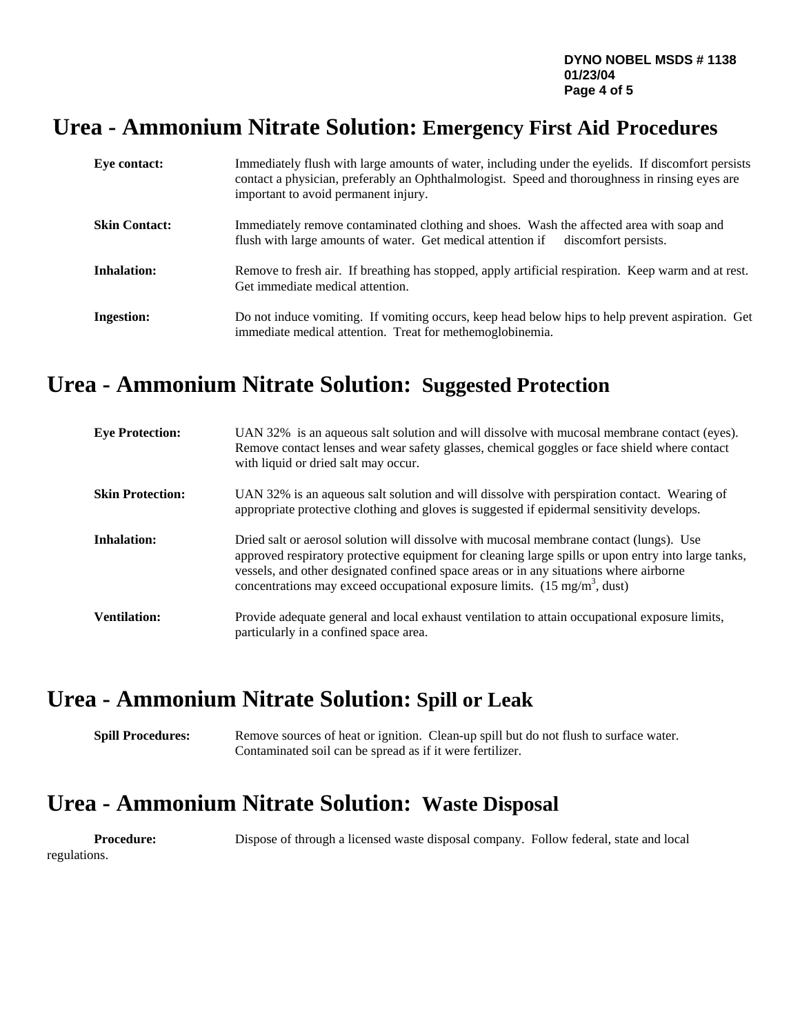### **Urea - Ammonium Nitrate Solution: Emergency First Aid Procedures**

| Eye contact:         | Immediately flush with large amounts of water, including under the eyelids. If discomfort persists<br>contact a physician, preferably an Ophthalmologist. Speed and thoroughness in rinsing eyes are<br>important to avoid permanent injury. |
|----------------------|----------------------------------------------------------------------------------------------------------------------------------------------------------------------------------------------------------------------------------------------|
| <b>Skin Contact:</b> | Immediately remove contaminated clothing and shoes. Wash the affected area with soap and<br>flush with large amounts of water. Get medical attention if<br>discomfort persists.                                                              |
| <b>Inhalation:</b>   | Remove to fresh air. If breathing has stopped, apply artificial respiration. Keep warm and at rest.<br>Get immediate medical attention.                                                                                                      |
| <b>Ingestion:</b>    | Do not induce vomiting. If vomiting occurs, keep head below hips to help prevent aspiration. Get<br>immediate medical attention. Treat for methemoglobinemia.                                                                                |

# **Urea - Ammonium Nitrate Solution: Suggested Protection**

| <b>Eye Protection:</b>  | UAN 32% is an aqueous salt solution and will dissolve with mucosal membrane contact (eyes).<br>Remove contact lenses and wear safety glasses, chemical goggles or face shield where contact<br>with liquid or dried salt may occur.                                                                                                                                                    |
|-------------------------|----------------------------------------------------------------------------------------------------------------------------------------------------------------------------------------------------------------------------------------------------------------------------------------------------------------------------------------------------------------------------------------|
| <b>Skin Protection:</b> | UAN 32% is an aqueous salt solution and will dissolve with perspiration contact. Wearing of<br>appropriate protective clothing and gloves is suggested if epidermal sensitivity develops.                                                                                                                                                                                              |
| Inhalation:             | Dried salt or aerosol solution will dissolve with mucosal membrane contact (lungs). Use<br>approved respiratory protective equipment for cleaning large spills or upon entry into large tanks,<br>vessels, and other designated confined space areas or in any situations where airborne<br>concentrations may exceed occupational exposure limits. $(15 \text{ mg/m}^3, \text{dust})$ |
| <b>Ventilation:</b>     | Provide adequate general and local exhaust ventilation to attain occupational exposure limits,<br>particularly in a confined space area.                                                                                                                                                                                                                                               |

# **Urea - Ammonium Nitrate Solution: Spill or Leak**

**Spill Procedures:** Remove sources of heat or ignition. Clean-up spill but do not flush to surface water. Contaminated soil can be spread as if it were fertilizer.

### **Urea - Ammonium Nitrate Solution: Waste Disposal**

regulations.

**Procedure:** Dispose of through a licensed waste disposal company. Follow federal, state and local